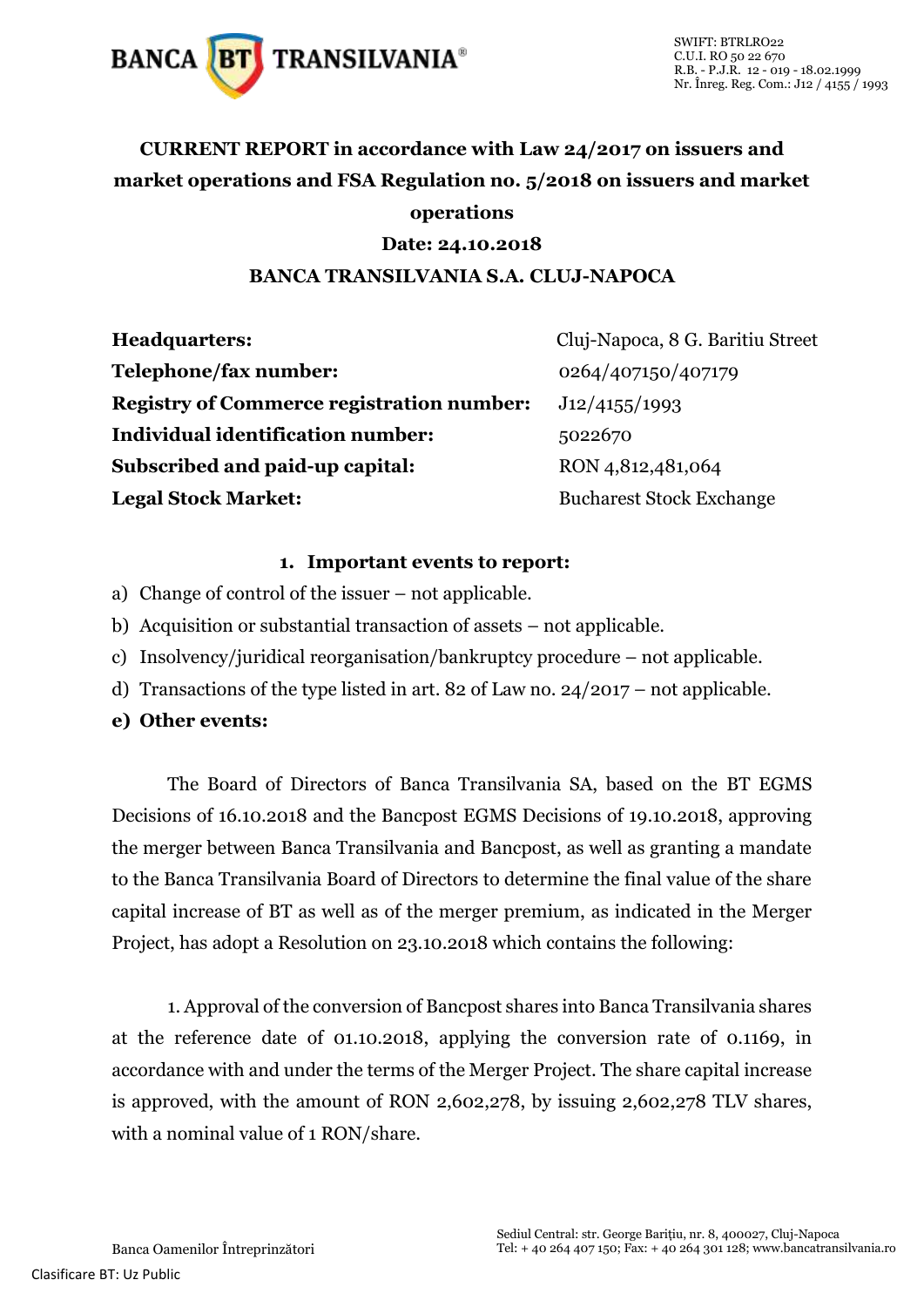

# **CURRENT REPORT in accordance with Law 24/2017 on issuers and market operations and FSA Regulation no. 5/2018 on issuers and market operations**

## **Date: 24.10.2018**

## **BANCA TRANSILVANIA S.A. CLUJ-NAPOCA**

| <b>Headquarters:</b>                             | Cluj-Napoca, 8 G. Baritiu Street |
|--------------------------------------------------|----------------------------------|
| Telephone/fax number:                            | 0264/407150/407179               |
| <b>Registry of Commerce registration number:</b> | J12/4155/1993                    |
| <b>Individual identification number:</b>         | 5022670                          |
| Subscribed and paid-up capital:                  | RON 4,812,481,064                |
| <b>Legal Stock Market:</b>                       | <b>Bucharest Stock Exchange</b>  |

### **1. Important events to report:**

- a) Change of control of the issuer not applicable.
- b) Acquisition or substantial transaction of assets not applicable.
- c) Insolvency/juridical reorganisation/bankruptcy procedure not applicable.
- d) Transactions of the type listed in art. 82 of Law no. 24/2017 not applicable.

## **e) Other events:**

The Board of Directors of Banca Transilvania SA, based on the BT EGMS Decisions of 16.10.2018 and the Bancpost EGMS Decisions of 19.10.2018, approving the merger between Banca Transilvania and Bancpost, as well as granting a mandate to the Banca Transilvania Board of Directors to determine the final value of the share capital increase of BT as well as of the merger premium, as indicated in the Merger Project, has adopt a Resolution on 23.10.2018 which contains the following:

1. Approval of the conversion of Bancpost shares into Banca Transilvania shares at the reference date of 01.10.2018, applying the conversion rate of 0.1169, in accordance with and under the terms of the Merger Project. The share capital increase is approved, with the amount of RON 2,602,278, by issuing 2,602,278 TLV shares, with a nominal value of 1 RON/share.